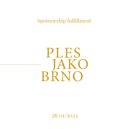Sponsorship fulfillment



28/01/2023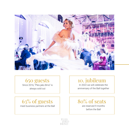

650 guests

Since 2016, "Ples jako Brno" is always sold out

10. jubileum

In 2022 we will celebrate the anniversary of the Ball together

#### 63% of guests

meet business partners at the Ball

80% of seats are reserved 9 months

before the Ball

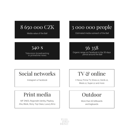#### 8 650 000 CZK

Media value of the Ball

3 000 000 people

Estimated media outreach of the Ball

340 s

Television broadcasting in primetime news

56 358

Organic range on Facebook in the 30-days period around the Ball

## Social networks

Instagram a Facebook

## Print media

MF DNES, Regionální deníky, Playboy, Aha, Blesk, Story, Top Class, Luxury Brno

#### TV & online

V Nova, Prima TV, iDnes.cz, Deník.cz, Blesk.cz, Super.cz and more

## Outdoor

More than 60 billboards and bigboards

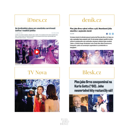#### Na brněnském plese pro smetánku servírovali ústřice i tradiční jelitko

#### C IT was less to at

 $0000$ 

Lodičky na vysokem podpatku, nákladný účes, motýlek. Tak vypadala povemá výbeva každelne páru. který v sobotu zavital do brněnské Fait Gallery. Už podevátě se tam konala neprestživější akoa brnénaké plesové sezony - Ples jako Brno.





## iDnes.cz deník.cz

#### Ples jako Brno vybral milion a půl. Nesnězené jídlo skončilo v azylovém domě

283,2030

#### 日日日

Vrcholem letošní brněnské plesové sezóny byl Ples jako Brno. Ani letos na něm nechyběla řada známých tváří. Po červeném koberci zamířili do bilostřibrně vyzdobeného sálu ozářeného stovkami světélek třeba manželé Taťána a Ondřej Gregor Brzobohatí nebo Česká Miss Nikol Švantnerová. Fotografie z plesu od samotných organizátorů si prohlédněte ve fotogalerii.



#### TV Nova | | Blesk.cz

Ples jako Brno zavzpomínal na Karla Gotta (+80). Jeho nesmrtelné hity roztančily sál!



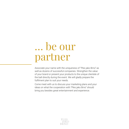# … be our partner

Associate your name with the uniqueness of "Ples jako Brno" as well as dozens of successful companies. Strengthen the value of your brand or present your products to the unique clientele of the ball directly during the event. We will gladly prepare the fulfilment plan to suit your needs.

Come meet with us to discuss your marketing plans and your ideas on what the cooperation with "Ples jako Brno" should bring you besides great entertainment and experience.

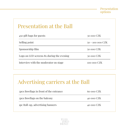## Presentation at the Ball

| 450 gift bags for guests                  | 30 000 CZK       |
|-------------------------------------------|------------------|
| Selling point                             | 50 - 100 000 CZK |
| Sponsorship film                          | 50 000 CZK       |
| Logo on LED screens 8x during the evening | 30 000 CZK       |
| Interview with the moderator on stage.    | 100 000 CZK      |

## Advertising carriers at the Ball

| approximate 2 pcs Bowflags in front of the entrance | 60 000 CZK |
|-----------------------------------------------------|------------|
| 2pcs Bowflags on the balcony                        | 40 000 CZK |
| apc Roll-up, advertising banners                    | 40 000 CZK |

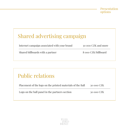| Shared advertising campaign                  |                     |  |  |  |  |
|----------------------------------------------|---------------------|--|--|--|--|
| Internet campaign associated with your brand | 30 000 CZK and more |  |  |  |  |
| Shared billboards with a partner             | 8 000 CZK/billboard |  |  |  |  |

|  |  | <b>Public relations</b> |  |
|--|--|-------------------------|--|
|  |  |                         |  |

Placement of the logo on the printed materials of the Ball 30 000 CZK

Logo on the ball panel in the partners section 30 000 CZK

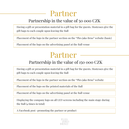## Partner

#### Partnership in the value of 50 000 CZK

Having a gift or presentation material in a gift bag for the guests. Hostesses give the gift bags to each couple upon leaving the Ball

Placement of the logo in the partner section on the "Ples jako Brno" website (basic)

Placement of the logo on the advertising panel at the Ball venue

## Partner

#### Partnership in the value of 150 000 CZK

Having a gift or presentation material in a gift bag for the guests. Hostesses give the gift bags to each couple upon leaving the Ball

Placement of the logo in the partner section on the "Ples jako Brno" website

Placement of the logo on the printed materials of the Ball

Placement of the logo on the advertising panel at the Ball venue

Displaying the company logo on all LED screens including the main stage during the Ball (4 times in total)

A Facebook post -promoting the partner or product

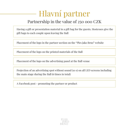## Hlavní partner

#### Partnership in the value of 250 000 CZK

Having a gift or presentation material in a gift bag for the guests. Hostesses give the gift bags to each couple upon leaving the Ball

Placement of the logo in the partner section on the "Ples jako Brno" website

Placement of the logo on the printed materials of the Ball

Placement of the logo on the advertising panel at the Ball venue

Projection of an advertising spot without sound (10 s) on all LED screens including the main stage during the Ball (6 times in total)

A Facebook post - promoting the partner or product

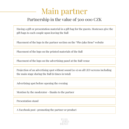## Main partner

#### Partnership in the value of 500 000 CZK

Having a gift or presentation material in a gift bag for the guests. Hostesses give the gift bags to each couple upon leaving the Ball

Placement of the logo in the partner section on the "Ples jako Brno" website

Placement of the logo on the printed materials of the Ball

Placement of the logo on the advertising panel at the Ball venue

Projection of an advertising spot without sound (10 s) on all LED screens including the main stage during the Ball (6 times in total)

Advertising spot before opening the evening

Mention by the moderator - thanks to the partner

Presentation stand

A Facebook post -promoting the partner or product

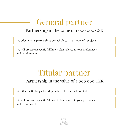## General partner

#### Partnership in the value of 1 000 000 CZK

We offer general partnerships exclusively to a maximum of 2 subjects

We will prepare a specific fulfilment plan tailored to your preferences and requirements

## Titular partner

#### Partnership in the value of 2 000 000 CZK

We offer the titular partnership exclusively to a single subject

We will prepare a specific fulfilment plan tailored to your preferences and requirements

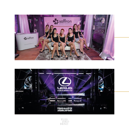



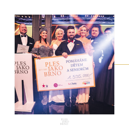